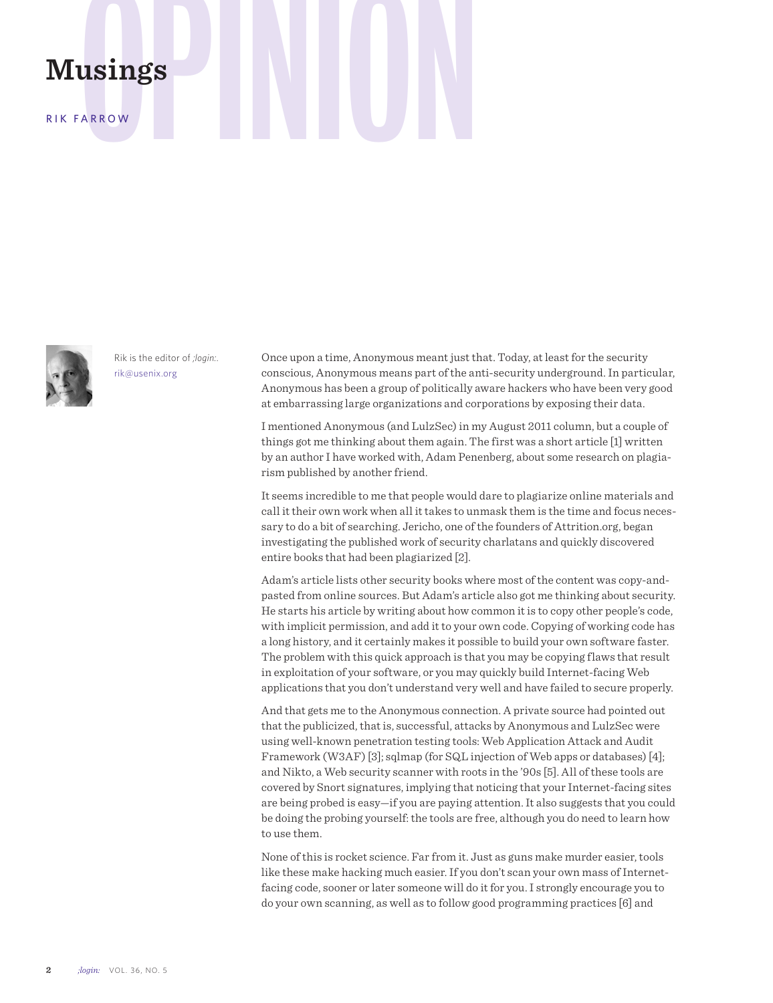## **Musings**<br>RIK FARROW

RIK FARROW



Rik is the editor of *;login:*. rik@usenix.org

Once upon a time, Anonymous meant just that. Today, at least for the security conscious, Anonymous means part of the anti-security underground. In particular, Anonymous has been a group of politically aware hackers who have been very good at embarrassing large organizations and corporations by exposing their data.

I mentioned Anonymous (and LulzSec) in my August 2011 column, but a couple of things got me thinking about them again. The first was a short article [1] written by an author I have worked with, Adam Penenberg, about some research on plagiarism published by another friend.

It seems incredible to me that people would dare to plagiarize online materials and call it their own work when all it takes to unmask them is the time and focus necessary to do a bit of searching. Jericho, one of the founders of Attrition.org, began investigating the published work of security charlatans and quickly discovered entire books that had been plagiarized [2].

Adam's article lists other security books where most of the content was copy-andpasted from online sources. But Adam's article also got me thinking about security. He starts his article by writing about how common it is to copy other people's code, with implicit permission, and add it to your own code. Copying of working code has a long history, and it certainly makes it possible to build your own software faster. The problem with this quick approach is that you may be copying flaws that result in exploitation of your software, or you may quickly build Internet-facing Web applications that you don't understand very well and have failed to secure properly.

And that gets me to the Anonymous connection. A private source had pointed out that the publicized, that is, successful, attacks by Anonymous and LulzSec were using well-known penetration testing tools: Web Application Attack and Audit Framework (W3AF) [3]; sqlmap (for SQL injection of Web apps or databases) [4]; and Nikto, a Web security scanner with roots in the '90s [5]. All of these tools are covered by Snort signatures, implying that noticing that your Internet-facing sites are being probed is easy—if you are paying attention. It also suggests that you could be doing the probing yourself: the tools are free, although you do need to learn how to use them.

None of this is rocket science. Far from it. Just as guns make murder easier, tools like these make hacking much easier. If you don't scan your own mass of Internetfacing code, sooner or later someone will do it for you. I strongly encourage you to do your own scanning, as well as to follow good programming practices [6] and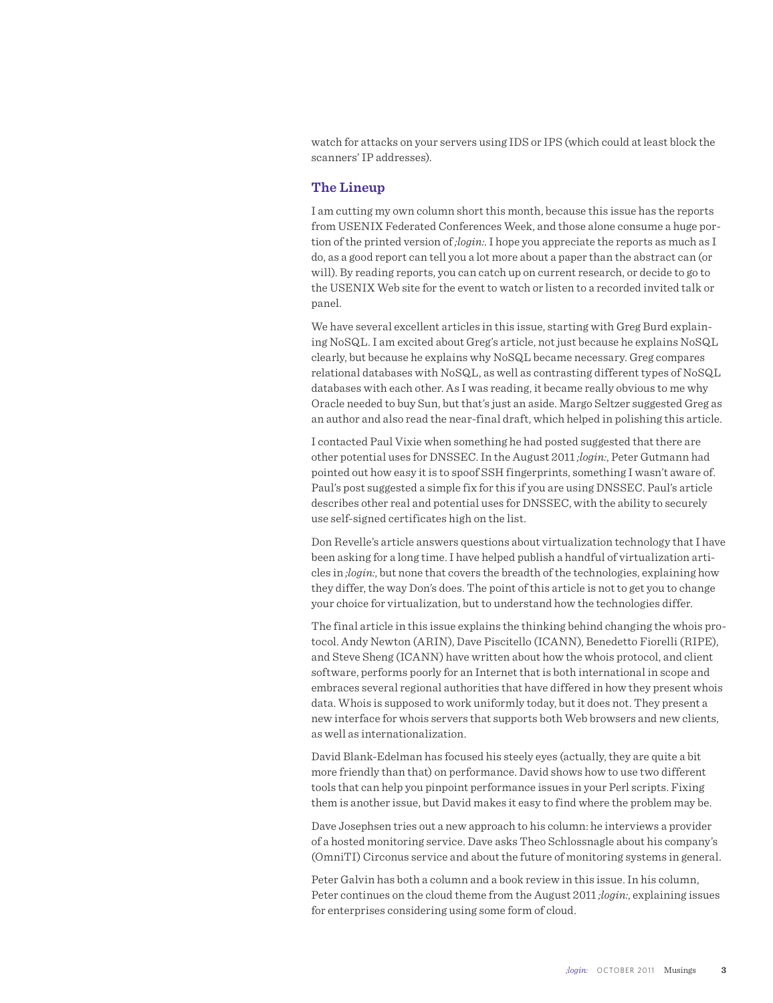watch for attacks on your servers using IDS or IPS (which could at least block the scanners' IP addresses).

## **The Lineup**

I am cutting my own column short this month, because this issue has the reports from USENIX Federated Conferences Week, and those alone consume a huge portion of the printed version of *;login:*. I hope you appreciate the reports as much as I do, as a good report can tell you a lot more about a paper than the abstract can (or will). By reading reports, you can catch up on current research, or decide to go to the USENIX Web site for the event to watch or listen to a recorded invited talk or panel.

We have several excellent articles in this issue, starting with Greg Burd explaining NoSQL. I am excited about Greg's article, not just because he explains NoSQL clearly, but because he explains why NoSQL became necessary. Greg compares relational databases with NoSQL, as well as contrasting different types of NoSQL databases with each other. As I was reading, it became really obvious to me why Oracle needed to buy Sun, but that's just an aside. Margo Seltzer suggested Greg as an author and also read the near-final draft, which helped in polishing this article.

I contacted Paul Vixie when something he had posted suggested that there are other potential uses for DNSSEC. In the August 2011 *;login:*, Peter Gutmann had pointed out how easy it is to spoof SSH fingerprints, something I wasn't aware of. Paul's post suggested a simple fix for this if you are using DNSSEC. Paul's article describes other real and potential uses for DNSSEC, with the ability to securely use self-signed certificates high on the list.

Don Revelle's article answers questions about virtualization technology that I have been asking for a long time. I have helped publish a handful of virtualization articles in *;login:*, but none that covers the breadth of the technologies, explaining how they differ, the way Don's does. The point of this article is not to get you to change your choice for virtualization, but to understand how the technologies differ.

The final article in this issue explains the thinking behind changing the whois protocol. Andy Newton (ARIN), Dave Piscitello (ICANN), Benedetto Fiorelli (RIPE), and Steve Sheng (ICANN) have written about how the whois protocol, and client software, performs poorly for an Internet that is both international in scope and embraces several regional authorities that have differed in how they present whois data. Whois is supposed to work uniformly today, but it does not. They present a new interface for whois servers that supports both Web browsers and new clients, as well as internationalization.

David Blank-Edelman has focused his steely eyes (actually, they are quite a bit more friendly than that) on performance. David shows how to use two different tools that can help you pinpoint performance issues in your Perl scripts. Fixing them is another issue, but David makes it easy to find where the problem may be.

Dave Josephsen tries out a new approach to his column: he interviews a provider of a hosted monitoring service. Dave asks Theo Schlossnagle about his company's (OmniTI) Circonus service and about the future of monitoring systems in general.

Peter Galvin has both a column and a book review in this issue. In his column, Peter continues on the cloud theme from the August 2011 *;login:*, explaining issues for enterprises considering using some form of cloud.